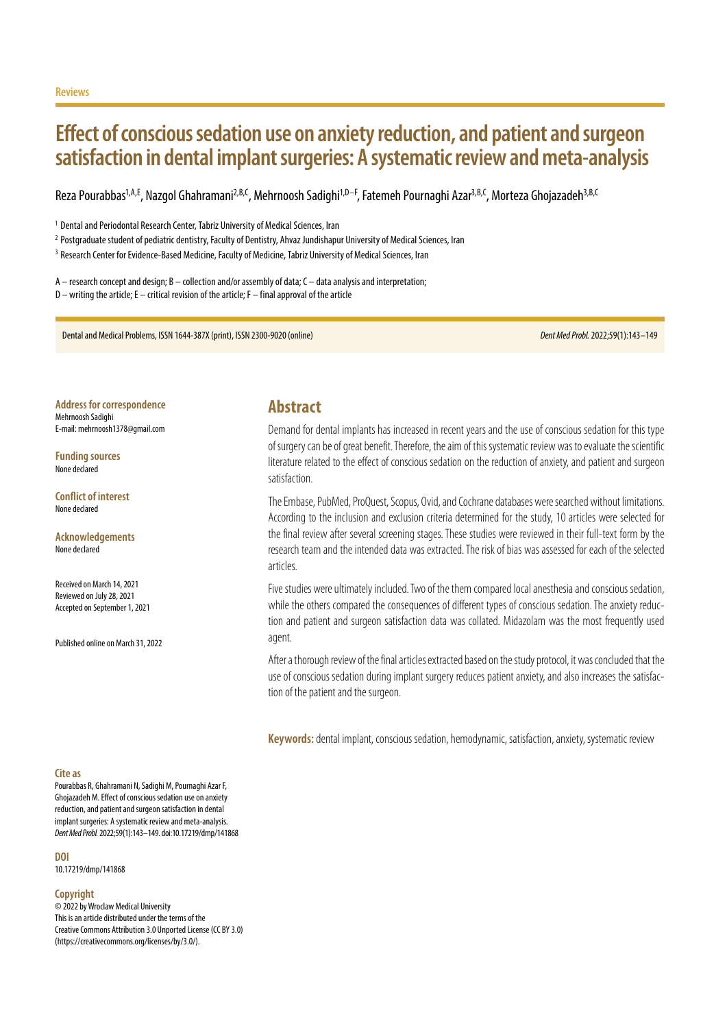# **Effect of conscious sedation use on anxiety reduction, and patient and surgeon satisfaction in dental implant surgeries: A systematic review and meta-analysis**

Reza Pourabbas<sup>1,A,E</sup>, Nazgol Ghahramani<sup>2,B,C</sup>, Mehrnoosh Sadighi<sup>1,D–F</sup>, Fatemeh Pournaghi Azar<sup>3,B,C</sup>, Morteza Ghojazadeh<sup>3,B,C</sup>

<sup>1</sup> Dental and Periodontal Research Center, Tabriz University of Medical Sciences, Iran

<sup>2</sup> Postgraduate student of pediatric dentistry, Faculty of Dentistry, Ahvaz Jundishapur University of Medical Sciences, Iran

<sup>3</sup> Research Center for Evidence-Based Medicine, Faculty of Medicine, Tabriz University of Medical Sciences, Iran

A – research concept and design; B – collection and/or assembly of data; C – data analysis and interpretation; D – writing the article; E – critical revision of the article; F – final approval of the article

Dental and Medical Problems, ISSN 1644-387X (print), ISSN 2300-9020 (online) *Dent Med Probl.* 2022;59(1):143–149

**Address for correspondence** Mehrnoosh Sadighi E-mail: mehrnoosh1378@gmail.com

**Funding sources** None declared

**Conflict of interest** None declared

**Acknowledgements** None declared

Received on March 14, 2021 Reviewed on July 28, 2021 Accepted on September 1, 2021

Published online on March 31, 2022

## **Abstract**

Demand for dental implants has increased in recent years and the use of conscious sedation for this type of surgery can be of great benefit. Therefore, the aim of this systematic review was to evaluate the scientific literature related to the effect of conscious sedation on the reduction of anxiety, and patient and surgeon satisfaction.

The Embase, PubMed, ProQuest, Scopus, Ovid, and Cochrane databases were searched without limitations. According to the inclusion and exclusion criteria determined for the study, 10 articles were selected for the final review after several screening stages. These studies were reviewed in their full-text form by the research team and the intended data was extracted. The risk of bias was assessed for each of the selected articles.

Five studies were ultimately included. Two of the them compared local anesthesia and conscious sedation, while the others compared the consequences of different types of conscious sedation. The anxiety reduction and patient and surgeon satisfaction data was collated. Midazolam was the most frequently used agent.

After a thorough review of the final articles extracted based on the study protocol, it was concluded that the use of conscious sedation during implant surgery reduces patient anxiety, and also increases the satisfaction of the patient and the surgeon.

**Keywords:** dental implant, conscious sedation, hemodynamic, satisfaction, anxiety, systematic review

#### **Cite as**

Pourabbas R, Ghahramani N, Sadighi M, Pournaghi Azar F, Ghojazadeh M. Effect of conscious sedation use on anxiety reduction, and patient and surgeon satisfaction in dental implant surgeries: A systematic review and meta-analysis. *Dent Med Probl.* 2022;59(1):143–149. doi:10.17219/dmp/141868

**DOI**

10.17219/dmp/141868

#### **Copyright**

© 2022 by Wroclaw Medical University This is an article distributed under the terms of the Creative Commons Attribution 3.0 Unported License (CC BY 3.0) [\(https://creativecommons.org/licenses/by/3.0/\)](https://creativecommons.org/licenses/by/3.0/).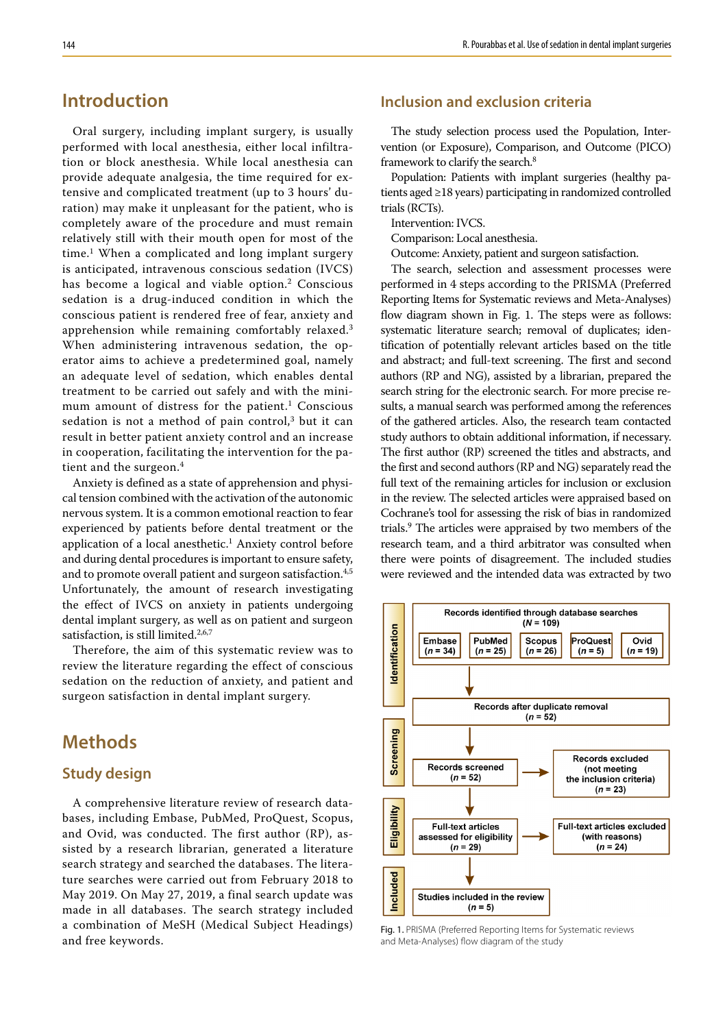## **Introduction**

Oral surgery, including implant surgery, is usually performed with local anesthesia, either local infiltration or block anesthesia. While local anesthesia can provide adequate analgesia, the time required for extensive and complicated treatment (up to 3 hours' duration) may make it unpleasant for the patient, who is completely aware of the procedure and must remain relatively still with their mouth open for most of the time.<sup>1</sup> When a complicated and long implant surgery is anticipated, intravenous conscious sedation (IVCS) has become a logical and viable option.<sup>2</sup> Conscious sedation is a drug-induced condition in which the conscious patient is rendered free of fear, anxiety and apprehension while remaining comfortably relaxed.<sup>3</sup> When administering intravenous sedation, the operator aims to achieve a predetermined goal, namely an adequate level of sedation, which enables dental treatment to be carried out safely and with the minimum amount of distress for the patient.<sup>1</sup> Conscious sedation is not a method of pain control, $3$  but it can result in better patient anxiety control and an increase in cooperation, facilitating the intervention for the patient and the surgeon.<sup>4</sup>

Anxiety is defined as a state of apprehension and physical tension combined with the activation of the autonomic nervous system. It is a common emotional reaction to fear experienced by patients before dental treatment or the application of a local anesthetic.<sup>1</sup> Anxiety control before and during dental procedures is important to ensure safety, and to promote overall patient and surgeon satisfaction.<sup>4,5</sup> Unfortunately, the amount of research investigating the effect of IVCS on anxiety in patients undergoing dental implant surgery, as well as on patient and surgeon satisfaction, is still limited.<sup>2,6,7</sup>

Therefore, the aim of this systematic review was to review the literature regarding the effect of conscious sedation on the reduction of anxiety, and patient and surgeon satisfaction in dental implant surgery.

## **Methods**

### **Study design**

A comprehensive literature review of research databases, including Embase, PubMed, ProQuest, Scopus, and Ovid, was conducted. The first author (RP), assisted by a research librarian, generated a literature search strategy and searched the databases. The literature searches were carried out from February 2018 to May 2019. On May 27, 2019, a final search update was made in all databases. The search strategy included a combination of MeSH (Medical Subject Headings) and free keywords.

## **Inclusion and exclusion criteria**

The study selection process used the Population, Intervention (or Exposure), Comparison, and Outcome (PICO) framework to clarify the search.8

Population: Patients with implant surgeries (healthy patients aged ≥18 years) participating in randomized controlled trials (RCTs).

Intervention: IVCS.

Comparison: Local anesthesia.

Outcome: Anxiety, patient and surgeon satisfaction.

The search, selection and assessment processes were performed in 4 steps according to the PRISMA (Preferred Reporting Items for Systematic reviews and Meta-Analyses) flow diagram shown in Fig. 1. The steps were as follows: systematic literature search; removal of duplicates; identification of potentially relevant articles based on the title and abstract; and full-text screening. The first and second authors (RP and NG), assisted by a librarian, prepared the search string for the electronic search. For more precise results, a manual search was performed among the references of the gathered articles. Also, the research team contacted study authors to obtain additional information, if necessary. The first author (RP) screened the titles and abstracts, and the first and second authors (RP and NG) separately read the full text of the remaining articles for inclusion or exclusion in the review. The selected articles were appraised based on Cochrane's tool for assessing the risk of bias in randomized trials.9 The articles were appraised by two members of the research team, and a third arbitrator was consulted when there were points of disagreement. The included studies were reviewed and the intended data was extracted by two



Fig. 1. PRISMA (Preferred Reporting Items for Systematic reviews and Meta-Analyses) flow diagram of the study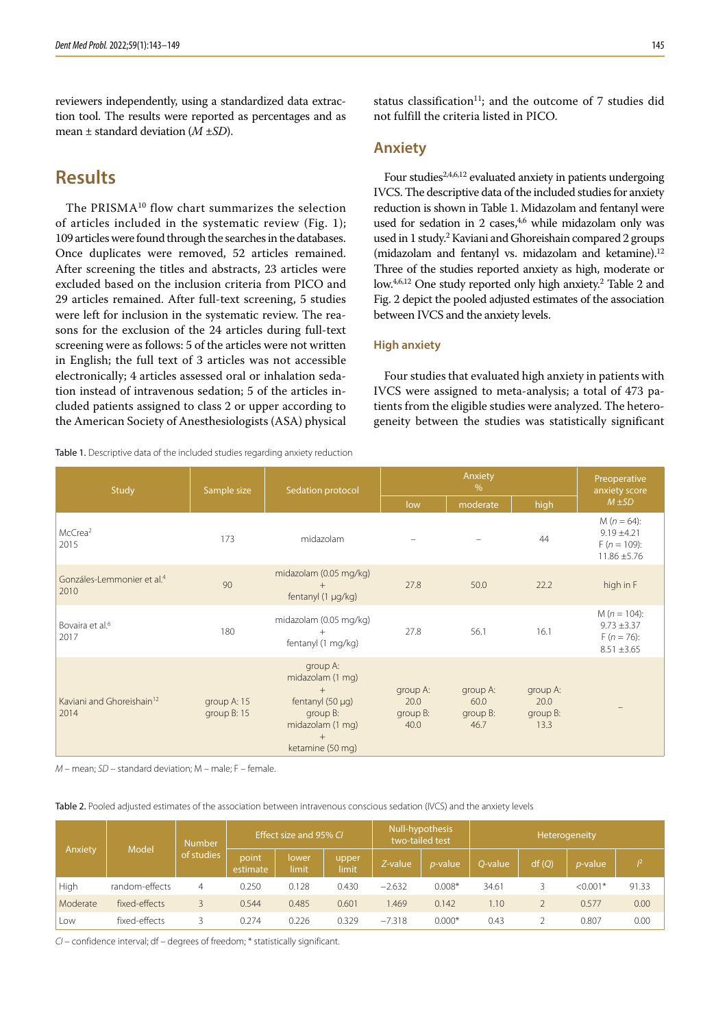reviewers independently, using a standardized data extraction tool. The results were reported as percentages and as mean ± standard deviation (*M* ±*SD*).

## **Results**

The PRISMA<sup>10</sup> flow chart summarizes the selection of articles included in the systematic review (Fig. 1); 109 articles were found through the searches in the databases. Once duplicates were removed, 52 articles remained. After screening the titles and abstracts, 23 articles were excluded based on the inclusion criteria from PICO and 29 articles remained. After full-text screening, 5 studies were left for inclusion in the systematic review. The reasons for the exclusion of the 24 articles during full-text screening were as follows: 5 of the articles were not written in English; the full text of 3 articles was not accessible electronically; 4 articles assessed oral or inhalation sedation instead of intravenous sedation; 5 of the articles included patients assigned to class 2 or upper according to the American Society of Anesthesiologists (ASA) physical

Table 1. Descriptive data of the included studies regarding anxiety reduction

status classification<sup>11</sup>; and the outcome of  $7$  studies did not fulfill the criteria listed in PICO.

### **Anxiety**

Four studies<sup>2,4,6,12</sup> evaluated anxiety in patients undergoing IVCS. The descriptive data of the included studies for anxiety reduction is shown in Table 1. Midazolam and fentanyl were used for sedation in 2 cases, $4,6$  while midazolam only was used in 1 study.2 Kaviani and Ghoreishain compared 2 groups (midazolam and fentanyl vs. midazolam and ketamine).<sup>12</sup> Three of the studies reported anxiety as high, moderate or low.<sup>4,6,12</sup> One study reported only high anxiety.<sup>2</sup> Table 2 and Fig. 2 depict the pooled adjusted estimates of the association between IVCS and the anxiety levels.

### **High anxiety**

Four studies that evaluated high anxiety in patients with IVCS were assigned to meta-analysis; a total of 473 patients from the eligible studies were analyzed. The heterogeneity between the studies was statistically significant

| Study                                          | Sample size                  | Sedation protocol                                                                                                       |                                      | Preoperative<br>anxiety score        |                                      |                                                                        |
|------------------------------------------------|------------------------------|-------------------------------------------------------------------------------------------------------------------------|--------------------------------------|--------------------------------------|--------------------------------------|------------------------------------------------------------------------|
|                                                |                              |                                                                                                                         | low                                  | moderate                             | high                                 | $M \pm SD$                                                             |
| McCrea <sup>2</sup><br>2015                    | 173                          | midazolam                                                                                                               |                                      |                                      | 44                                   | $M(n = 64)$ :<br>$9.19 \pm 4.21$<br>$F(n = 109)$ :<br>$11.86 \pm 5.76$ |
| Gonzáles-Lemmonier et al. <sup>4</sup><br>2010 | 90                           | midazolam (0.05 mg/kg)<br>fentanyl (1 µg/kg)                                                                            | 27.8                                 | 50.0                                 | 22.2                                 | high in F                                                              |
| Bovaira et al. <sup>6</sup><br>2017            | 180                          | midazolam (0.05 mg/kg)<br>$^{+}$<br>fentanyl (1 mg/kg)                                                                  | 27.8                                 | 56.1                                 | 16.1                                 | $M(n = 104)$ :<br>$9.73 \pm 3.37$<br>$F(n = 76)$ :<br>$8.51 \pm 3.65$  |
| Kaviani and Ghoreishain <sup>12</sup><br>2014  | group A: 15<br>group $B: 15$ | group A:<br>midazolam (1 mg)<br>$+$<br>fentanyl $(50 \mu q)$<br>group B:<br>midazolam (1 mg)<br>$+$<br>ketamine (50 mg) | group A:<br>20.0<br>group B:<br>40.0 | group A:<br>60.0<br>group B:<br>46.7 | group A:<br>20.0<br>group B:<br>13.3 |                                                                        |

*M* – mean; *SD* – standard deviation; M – male; F – female.

Table 2. Pooled adjusted estimates of the association between intravenous conscious sedation (IVCS) and the anxiety levels

| Model<br>Anxiety |                | <b>Number</b>     | Effect size and 95% CL |                |         | two-tailed test | Null-hypothesis | Heterogeneity |                 |            |       |  |
|------------------|----------------|-------------------|------------------------|----------------|---------|-----------------|-----------------|---------------|-----------------|------------|-------|--|
|                  | of studies     | point<br>estimate | lower<br>limit         | upper<br>limit | Z-value | <i>p</i> -value | O-value         | df(Q)         | <i>p</i> -value | $\sqrt{2}$ |       |  |
| High             | random-effects | 4                 | 0.250                  | 0.128          | 0.430   | $-2.632$        | $0.008*$        | 34.61         |                 | $< 0.001*$ | 91.33 |  |
| Moderate         | fixed-effects  |                   | 0.544                  | 0.485          | 0.601   | .469            | 0.142           | 1.10          |                 | 0.577      | 0.00  |  |
| Low              | fixed-effects  |                   | 0.274                  | 0.226          | 0.329   | $-7.318$        | $0.000*$        | 0.43          |                 | 0.807      | 0.00  |  |

*CI* – confidence interval; df – degrees of freedom; \* statistically significant.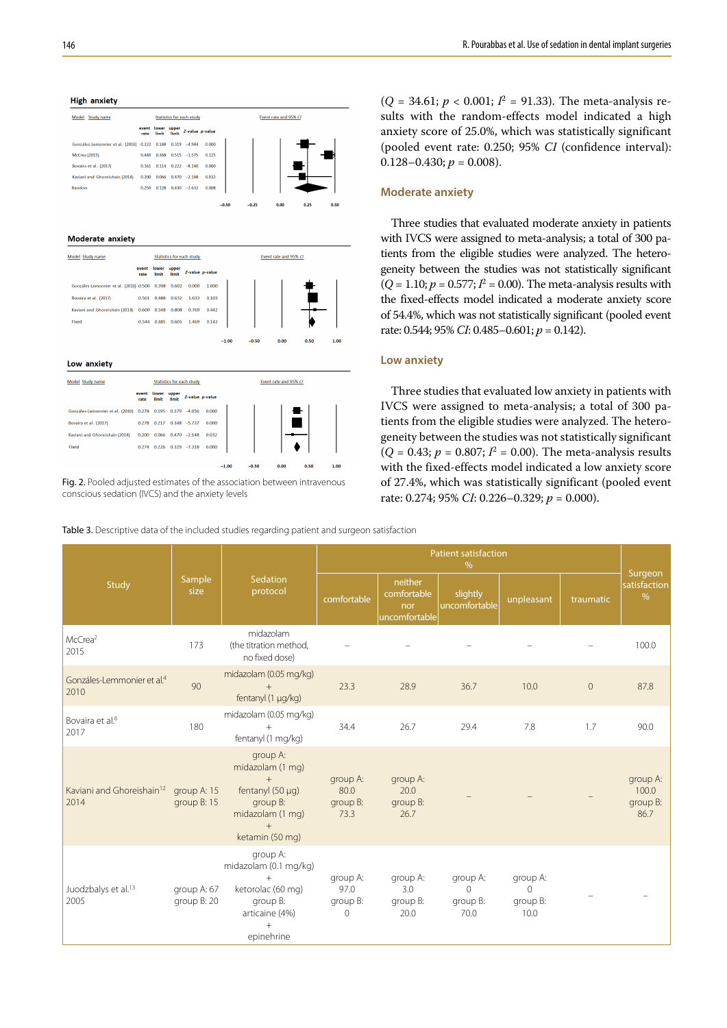#### **High anxiety**



#### Moderate anxiety

| Model Study name                       |               |                |                | <b>Statistics for each study</b> |                 | Event rate and 95% CI |         |      |  |      |      |  |  |
|----------------------------------------|---------------|----------------|----------------|----------------------------------|-----------------|-----------------------|---------|------|--|------|------|--|--|
|                                        | event<br>rate | lower<br>limit | upper<br>limit |                                  | Z-value p-value |                       |         |      |  |      |      |  |  |
| Gonzáles-Lemonnier et al. (2010) 0.500 |               | 0.398          | 0.602          | 0.000                            | 1.000           |                       |         |      |  |      |      |  |  |
| Bovaira et al. (2017)                  | 0.561         | 0.488          | 0.632          | 1.633                            | 0.103           |                       |         |      |  |      |      |  |  |
| Kaviani and Ghoreishain (2014)         | 0.600         | 0.348          | 0.808          | 0.769                            | 0.442           |                       |         |      |  |      |      |  |  |
| Fixed                                  | 0.544         | 0.485          | 0.601          | 1.469                            | 0.142           |                       |         |      |  |      |      |  |  |
|                                        |               |                |                |                                  |                 | $-1.00$               | $-0.50$ | 0.00 |  | 0.50 | 1.00 |  |  |
| . .                                    |               |                |                |                                  |                 |                       |         |      |  |      |      |  |  |

### Low anxiety

| Model Study name                 |               |                |                | <b>Statistics for each study</b> |                 |         |         |      | Event rate and 95% CI |
|----------------------------------|---------------|----------------|----------------|----------------------------------|-----------------|---------|---------|------|-----------------------|
|                                  | event<br>rate | lower<br>limit | upper<br>limit |                                  | Z-value p-value |         |         |      |                       |
| Gonzáles-Lemonnier et al. (2010) | 0.278         | 0.195          | 0.379          | $-4.056$                         | 0.000           |         |         |      |                       |
| Bovaira et al. (2017)            | 0.278         | 0.217          |                | $0.348 - 5.737$                  | 0.000           |         |         |      |                       |
| Kaviani and Ghoreishain (2014)   | 0.200         | 0.066          | 0.470          | $-2.148$                         | 0.032           |         |         |      |                       |
| Fixed                            | 0.274         | 0.226          | 0.329          | $-7.318$                         | 0.000           |         |         |      |                       |
|                                  |               |                |                |                                  |                 | $-1.00$ | $-0.50$ | 0.00 | 0.50                  |

Fig. 2. Pooled adjusted estimates of the association between intravenous conscious sedation (IVCS) and the anxiety levels

146 R. Pourabbas et al. Use of sedation in dental implant surgeries

 $(Q = 34.61; p < 0.001; I<sup>2</sup> = 91.33)$ . The meta-analysis results with the random-effects model indicated a high anxiety score of 25.0%, which was statistically significant (pooled event rate: 0.250; 95% *CI* (confidence interval):  $0.128 - 0.430$ ;  $p = 0.008$ ).

#### **Moderate anxiety**

Three studies that evaluated moderate anxiety in patients with IVCS were assigned to meta-analysis; a total of 300 patients from the eligible studies were analyzed. The heterogeneity between the studies was not statistically significant  $(Q = 1.10; p = 0.577; I^2 = 0.00)$ . The meta-analysis results with the fixed-effects model indicated a moderate anxiety score of 54.4%, which was not statistically significant (pooled event rate: 0.544; 95% *CI*: 0.485–0.601; *p* = 0.142).

#### **Low anxiety**

Three studies that evaluated low anxiety in patients with IVCS were assigned to meta-analysis; a total of 300 patients from the eligible studies were analyzed. The heterogeneity between the studies was not statistically significant  $(Q = 0.43; p = 0.807; I^2 = 0.00)$ . The meta-analysis results with the fixed-effects model indicated a low anxiety score of 27.4%, which was statistically significant (pooled event rate: 0.274; 95% *CI*: 0.226–0.329; *p* = 0.000).

Table 3. Descriptive data of the included studies regarding patient and surgeon satisfaction

|                                                |                            |                                                                                                                        |                                          |                                                | Surgeon                                  |                                          |              |                                       |
|------------------------------------------------|----------------------------|------------------------------------------------------------------------------------------------------------------------|------------------------------------------|------------------------------------------------|------------------------------------------|------------------------------------------|--------------|---------------------------------------|
| Study                                          | Sample<br>size             | Sedation<br>protocol                                                                                                   | comfortable                              | neither<br>comfortable<br>nor<br>uncomfortable | slightly<br>uncomfortable                | unpleasant                               | traumatic    | satisfaction<br>$\%$                  |
| McCrea <sup>2</sup><br>2015                    | 173                        | midazolam<br>(the titration method,<br>no fixed dose)                                                                  |                                          |                                                |                                          |                                          |              | 100.0                                 |
| Gonzáles-Lemmonier et al. <sup>4</sup><br>2010 | 90                         | midazolam (0.05 mg/kg)<br>$+$<br>fentanyl (1 µg/kg)                                                                    | 23.3                                     | 28.9                                           | 36.7                                     | 10.0                                     | $\mathbf{0}$ | 87.8                                  |
| Bovaira et al. <sup>6</sup><br>2017            | 180                        | midazolam (0.05 mg/kg)<br>$^{+}$<br>fentanyl (1 mg/kg)                                                                 | 34.4                                     | 26.7                                           | 29.4                                     | 7.8                                      | 1.7          | 90.0                                  |
| Kaviani and Ghoreishain <sup>12</sup><br>2014  | group A: 15<br>group B: 15 | group A:<br>midazolam (1 mg)<br>$+$<br>fentanyl $(50 \mu q)$<br>group B:<br>midazolam (1 mg)<br>$+$<br>ketamin (50 mg) | group A:<br>80.0<br>group B:<br>73.3     | group A:<br>20.0<br>group B:<br>26.7           |                                          |                                          |              | group A:<br>100.0<br>group B:<br>86.7 |
| Juodzbalys et al. <sup>13</sup><br>2005        | group A: 67<br>group B: 20 | group A:<br>midazolam (0.1 mg/kg)<br>$^{+}$<br>ketorolac (60 mg)<br>group B:<br>articaine (4%)<br>$+$<br>epinehrine    | group A:<br>97.0<br>group B:<br>$\Omega$ | group A:<br>3.0<br>group B:<br>20.0            | group A:<br>$\Omega$<br>group B:<br>70.0 | group A:<br>$\Omega$<br>group B:<br>10.0 |              |                                       |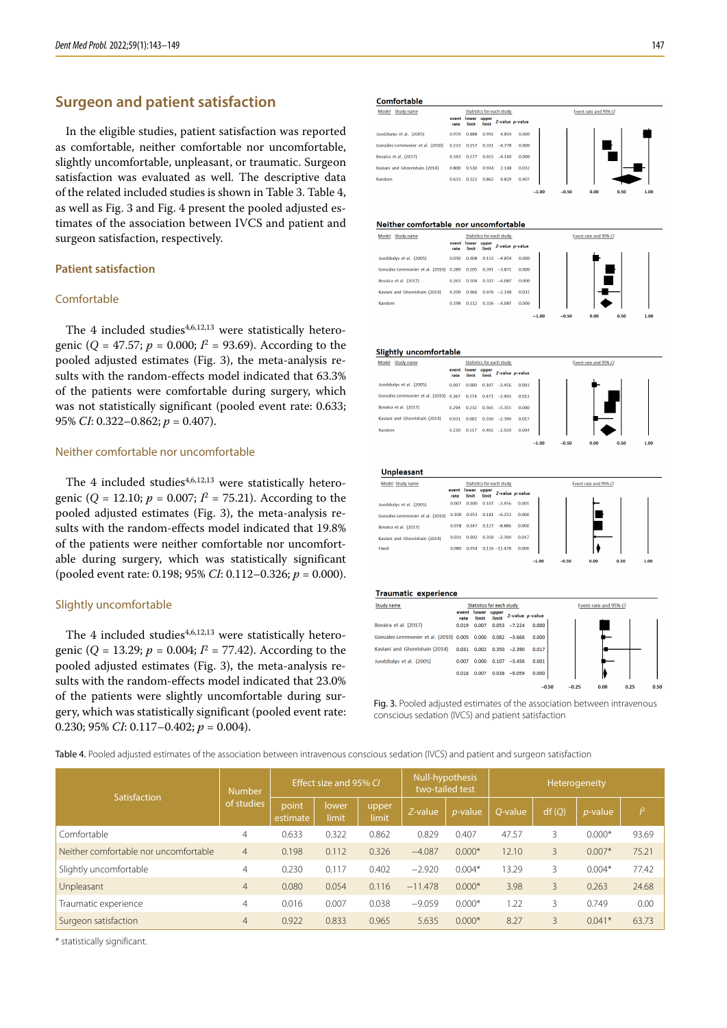## **Surgeon and patient satisfaction**

In the eligible studies, patient satisfaction was reported as comfortable, neither comfortable nor uncomfortable, slightly uncomfortable, unpleasant, or traumatic. Surgeon satisfaction was evaluated as well. The descriptive data of the related included studies is shown in Table 3. Table 4, as well as Fig. 3 and Fig. 4 present the pooled adjusted estimates of the association between IVCS and patient and surgeon satisfaction, respectively.

### **Patient satisfaction**

### Comfortable

The 4 included studies $4,6,12,13$  were statistically heterogenic ( $Q = 47.57$ ;  $p = 0.000$ ;  $I^2 = 93.69$ ). According to the pooled adjusted estimates (Fig. 3), the meta-analysis results with the random-effects model indicated that 63.3% of the patients were comfortable during surgery, which was not statistically significant (pooled event rate: 0.633; 95% *CI*: 0.322–0.862; *p* = 0.407).

#### Neither comfortable nor uncomfortable

The 4 included studies $4,6,12,13$  were statistically heterogenic ( $Q = 12.10$ ;  $p = 0.007$ ;  $I^2 = 75.21$ ). According to the pooled adjusted estimates (Fig. 3), the meta-analysis results with the random-effects model indicated that 19.8% of the patients were neither comfortable nor uncomfortable during surgery, which was statistically significant (pooled event rate: 0.198; 95% *CI*: 0.112–0.326; *p* = 0.000).

### Slightly uncomfortable

The 4 included studies $4,6,12,13$  were statistically heterogenic (*Q* = 13.29; *p* = 0.004; *I*<sup>2</sup> = 77.42). According to the pooled adjusted estimates (Fig. 3), the meta-analysis results with the random-effects model indicated that 23.0% of the patients were slightly uncomfortable during surgery, which was statistically significant (pooled event rate: 0.230; 95% *CI*: 0.117–0.402; *p* = 0.004).

Comfortable

| -----------                      |               |       |                      |                           |                 |
|----------------------------------|---------------|-------|----------------------|---------------------------|-----------------|
| Model<br>Study name              |               |       |                      | Statistics for each study |                 |
|                                  | event<br>rate | limit | lower upper<br>limit |                           | Z-value p-value |
| Juodzbalys et al. (2005)         | 0.970         | 0.888 | 0.992                | 4.854                     | 0.000           |
| González-Lemmonier et al. (2010) | 0.233         | 0.157 | 0.331                | $-4.778$                  | 0.000           |
| Bovaira et al. (2017)            | 0.343         | 0.277 | 0.415                | $-4.140$                  | 0.000           |
| Kaviani and Ghoreishain (2014)   | 0.800         | 0.530 | 0.934                | 2.148                     | 0.032           |
| Random                           | 0.633         | 0.322 | 0.862                | 0.829                     | 0.407           |
|                                  |               |       |                      |                           |                 |

#### Neither comfortable nor uncomfortable

| Model<br>Study name                    |               |                |                | Statistics for each study |                 |
|----------------------------------------|---------------|----------------|----------------|---------------------------|-----------------|
|                                        | event<br>rate | lower<br>limit | upper<br>limit |                           | Z-value p-value |
| Juodzbalys et al. (2005)               | 0.030         | 0.008          | 0.112          | $-4.854$                  | 0.000           |
| González-Lemmonier et al. (2010) 0.289 |               | 0.205          |                | $0.391 - 3.871$           | 0.000           |
| Bovaira et al. (2017)                  | 0.263         | 0.204          |                | $0.332 - 6.087$           | 0.000           |
| Kaviani and Ghoreishain (2014)         | 0.200         | 0.066          | 0.470          | $-2.148$                  | 0.032           |
| Random                                 | 0.198         | 0.112          |                | $0.326 -4.087$            | 0.000           |
|                                        |               |                |                |                           |                 |



| Slightly uncomfortable                 |               |                |                |                                  |                 |         |         |                       |      |      |
|----------------------------------------|---------------|----------------|----------------|----------------------------------|-----------------|---------|---------|-----------------------|------|------|
| <b>Study name</b><br>Model             |               |                |                | <b>Statistics for each study</b> |                 |         |         | Event rate and 95% C/ |      |      |
|                                        | event<br>rate | lower<br>limit | upper<br>limit |                                  | Z-value p-value |         |         |                       |      |      |
| Juodzbalys et al. (2005)               | 0.007         | 0.000          | 0.107          | $-3.456$                         | 0.001           |         |         |                       |      |      |
| González-Lemmonier et al. (2010) 0.367 |               | 0.274          |                | $0.471 -2.493$                   | 0.013           |         |         |                       |      |      |
| Bovaira et al. (2017)                  | 0.294         | 0.232          |                | $0.365 - 5.355$                  | 0.000           |         |         |                       |      |      |
| Kaviani and Ghoreishain (2014)         | 0.031         | 0.002          |                | $0.350 -2.390$                   | 0.017           |         |         |                       |      |      |
| Random                                 | 0.230         | 0.117          |                | $0.402 -2.920$                   | 0.004           |         |         |                       |      |      |
|                                        |               |                |                |                                  |                 | $-1.00$ | $-0.50$ | 0.00                  | 0.50 | 1.00 |

**Unnleasant** 

| Model Study name                 |               |                      |       | <b>Statistics for each study</b> |                 |
|----------------------------------|---------------|----------------------|-------|----------------------------------|-----------------|
|                                  | event<br>rate | lower upper<br>limit | limit |                                  | Z-value p-value |
| Juodzbalys et al. (2005)         | 0.007         | 0.000                | 0.107 | $-3.456$                         | 0.001           |
| González-Lemmonier et al. (2010) | 0.100         | 0.053                |       | $0.181 - 6.253$                  | 0.000           |
| Bovaira et al. (2017)            | 0.078         | 0.047                | 0.127 | $-8.886$                         | 0.000           |
| Kaviani and Ghoreishain (2014)   | 0.031         | 0.002                | 0.350 | $-2.390$                         | 0.017           |
| Fixed                            | 0.080         |                      |       | $0.054$ $0.116 - 11.478$         | 0.000           |
|                                  |               |                      |       |                                  |                 |

#### **Traumatic experience**

| Study name                             |               | <b>Statistics for each study</b> |                |                |                 |
|----------------------------------------|---------------|----------------------------------|----------------|----------------|-----------------|
|                                        | event<br>rate | lower<br>limit                   | upper<br>limit |                | Z-value p-value |
| Bovaira et al. (2017)                  | 0.019         | 0.007                            |                | $0.053 -7.224$ | 0.000           |
| González-Lemmonier et al. (2010) 0.005 |               | 0.000                            | 0.082          | $-3.666$       | 0.000           |
| Kaviani and Ghoreishain (2014)         | 0.031         | 0.002                            | 0.350          | $-2.390$       | 0.017           |
| Juodzbalys et al. (2005)               | 0.007         | 0.000                            | 0.107          | $-3.456$       | 0.001           |
|                                        | 0.016         | 0.007                            | 0.038          | $-9.059$       | 0.000           |
|                                        |               |                                  |                |                | $-0.50$         |

Fig. 3. Pooled adjusted estimates of the association between intravenous conscious sedation (IVCS) and patient satisfaction

Table 4. Pooled adjusted estimates of the association between intravenous conscious sedation (IVCS) and patient and surgeon satisfaction

| Satisfaction                          | <b>Number</b>  |                   | Effect size and 95% CI |                |           | Null-hypothesis<br>two-tailed test | Heterogeneity |       |            |       |  |
|---------------------------------------|----------------|-------------------|------------------------|----------------|-----------|------------------------------------|---------------|-------|------------|-------|--|
|                                       | of studies     | point<br>estimate | lower<br>limit         | upper<br>limit | Z-value   | $p$ -value                         | O-value       | df(Q) | $p$ -value | $l^2$ |  |
| Comfortable                           | $\overline{4}$ | 0.633             | 0.322                  | 0.862          | 0.829     | 0.407                              | 47.57         | 3     | $0.000*$   | 93.69 |  |
| Neither comfortable nor uncomfortable | $\overline{4}$ | 0.198             | 0.112                  | 0.326          | $-4.087$  | $0.000*$                           | 12.10         | 3     | $0.007*$   | 75.21 |  |
| Slightly uncomfortable                | 4              | 0.230             | 0.117                  | 0.402          | $-2.920$  | $0.004*$                           | 13.29         | 3     | $0.004*$   | 77.42 |  |
| Unpleasant                            | $\overline{4}$ | 0.080             | 0.054                  | 0.116          | $-11.478$ | $0.000*$                           | 3.98          | 3     | 0.263      | 24.68 |  |
| Traumatic experience                  | 4              | 0.016             | 0.007                  | 0.038          | $-9.059$  | $0.000*$                           | 1.22          | 3     | 0.749      | 0.00  |  |
| Surgeon satisfaction                  | $\overline{4}$ | 0.922             | 0.833                  | 0.965          | 5.635     | $0.000*$                           | 8.27          | 3     | $0.041*$   | 63.73 |  |

\* statistically significant.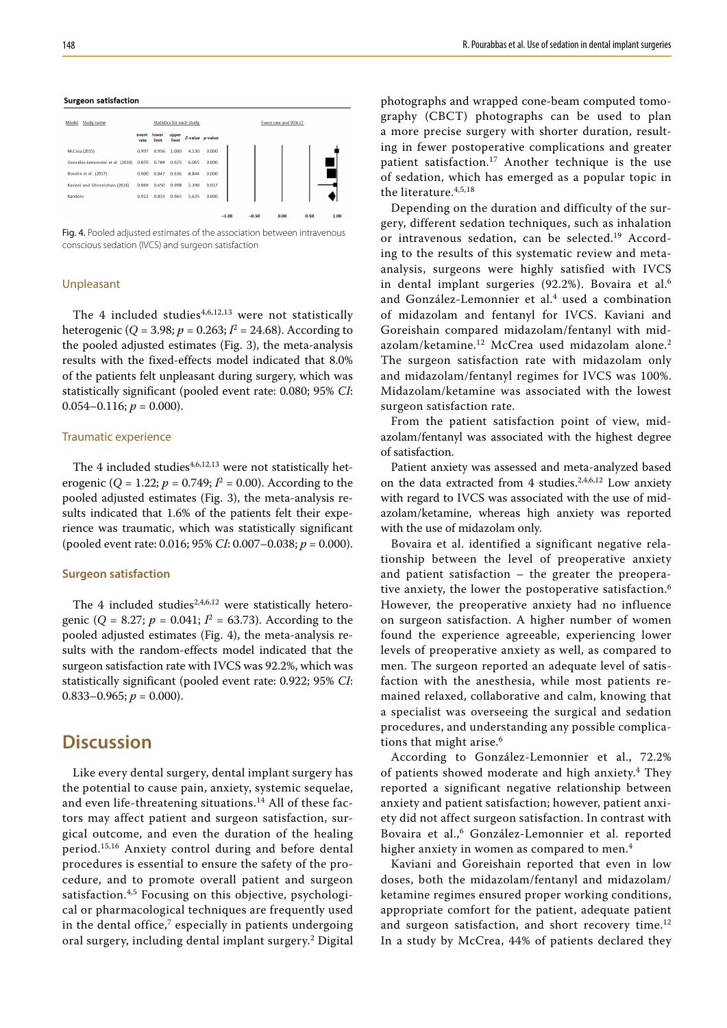#### **Surgeon satisfaction**

| Study name<br>Model              |               |                |                | <b>Statistics for each study</b> |                 | Event rate and 95% CI |         |      |      |      |  |  |
|----------------------------------|---------------|----------------|----------------|----------------------------------|-----------------|-----------------------|---------|------|------|------|--|--|
|                                  | event<br>rate | lower<br>limit | upper<br>limit |                                  | Z-value p-value |                       |         |      |      |      |  |  |
| <b>McCrea</b> (2015)             | 0.997         | 0.956          | 1.000          | 4.130                            | 0.000           |                       |         |      |      |      |  |  |
| Gonzáles-Lemonnier et al. (2010) | 0.870         | 0.784          | 0.925          | 6.065                            | 0.000           |                       |         |      |      |      |  |  |
| Bovaira et al. (2017)            | 0.900         | 0.847          | 0.936          | 8.844                            | 0.000           |                       |         |      |      |      |  |  |
| Kaviani and Ghoreishain (2014)   | 0.969         | 0.650          | 0.998          | 2.390                            | 0.017           |                       |         |      |      |      |  |  |
| Random                           | 0.922         | 0.833          | 0.965          | 5.635                            | 0.000           |                       |         |      |      |      |  |  |
|                                  |               |                |                |                                  |                 |                       |         |      |      |      |  |  |
|                                  |               |                |                |                                  |                 | $-1.00$               | $-0.50$ | 0.00 | 0.50 | 1.00 |  |  |

Fig. 4. Pooled adjusted estimates of the association between intravenous conscious sedation (IVCS) and surgeon satisfaction

#### Unpleasant

The 4 included studies $4,6,12,13$  were not statistically heterogenic (*Q* = 3.98; *p* = 0.263; *I*<sup>2</sup> = 24.68). According to the pooled adjusted estimates (Fig. 3), the meta-analysis results with the fixed-effects model indicated that 8.0% of the patients felt unpleasant during surgery, which was statistically significant (pooled event rate: 0.080; 95% *CI*:  $0.054 - 0.116$ ;  $p = 0.000$ ).

#### Traumatic experience

The 4 included studies $4,6,12,13$  were not statistically heterogenic ( $Q = 1.22$ ;  $p = 0.749$ ;  $I^2 = 0.00$ ). According to the pooled adjusted estimates (Fig. 3), the meta-analysis results indicated that 1.6% of the patients felt their experience was traumatic, which was statistically significant (pooled event rate: 0.016; 95% *CI*: 0.007–0.038; *p* = 0.000).

#### **Surgeon satisfaction**

The 4 included studies $2,4,6,12$  were statistically heterogenic ( $Q = 8.27$ ;  $p = 0.041$ ;  $I^2 = 63.73$ ). According to the pooled adjusted estimates (Fig. 4), the meta-analysis results with the random-effects model indicated that the surgeon satisfaction rate with IVCS was 92.2%, which was statistically significant (pooled event rate: 0.922; 95% *CI*: 0.833–0.965;  $p = 0.000$ ).

## **Discussion**

Like every dental surgery, dental implant surgery has the potential to cause pain, anxiety, systemic sequelae, and even life-threatening situations.<sup>14</sup> All of these factors may affect patient and surgeon satisfaction, surgical outcome, and even the duration of the healing period.15,16 Anxiety control during and before dental procedures is essential to ensure the safety of the procedure, and to promote overall patient and surgeon satisfaction.<sup>4,5</sup> Focusing on this objective, psychological or pharmacological techniques are frequently used in the dental office, $7$  especially in patients undergoing oral surgery, including dental implant surgery.2 Digital photographs and wrapped cone-beam computed tomography (CBCT) photographs can be used to plan a more precise surgery with shorter duration, resulting in fewer postoperative complications and greater patient satisfaction.17 Another technique is the use of sedation, which has emerged as a popular topic in the literature.4,5,18

Depending on the duration and difficulty of the surgery, different sedation techniques, such as inhalation or intravenous sedation, can be selected.<sup>19</sup> According to the results of this systematic review and metaanalysis, surgeons were highly satisfied with IVCS in dental implant surgeries (92.2%). Bovaira et al.<sup>6</sup> and González-Lemonnier et al.<sup>4</sup> used a combination of midazolam and fentanyl for IVCS. Kaviani and Goreishain compared midazolam/fentanyl with midazolam/ketamine.<sup>12</sup> McCrea used midazolam alone.<sup>2</sup> The surgeon satisfaction rate with midazolam only and midazolam/fentanyl regimes for IVCS was 100%. Midazolam/ketamine was associated with the lowest surgeon satisfaction rate.

From the patient satisfaction point of view, midazolam/fentanyl was associated with the highest degree of satisfaction.

Patient anxiety was assessed and meta-analyzed based on the data extracted from 4 studies. $2,4,6,12$  Low anxiety with regard to IVCS was associated with the use of midazolam/ketamine, whereas high anxiety was reported with the use of midazolam only.

Bovaira et al. identified a significant negative relationship between the level of preoperative anxiety and patient satisfaction – the greater the preoperative anxiety, the lower the postoperative satisfaction.<sup>6</sup> However, the preoperative anxiety had no influence on surgeon satisfaction. A higher number of women found the experience agreeable, experiencing lower levels of preoperative anxiety as well, as compared to men. The surgeon reported an adequate level of satisfaction with the anesthesia, while most patients remained relaxed, collaborative and calm, knowing that a specialist was overseeing the surgical and sedation procedures, and understanding any possible complications that might arise.<sup>6</sup>

According to González-Lemonnier et al., 72.2% of patients showed moderate and high anxiety.4 They reported a significant negative relationship between anxiety and patient satisfaction; however, patient anxiety did not affect surgeon satisfaction. In contrast with Bovaira et al.,<sup>6</sup> González-Lemonnier et al. reported higher anxiety in women as compared to men.<sup>4</sup>

Kaviani and Goreishain reported that even in low doses, both the midazolam/fentanyl and midazolam/ ketamine regimes ensured proper working conditions, appropriate comfort for the patient, adequate patient and surgeon satisfaction, and short recovery time.<sup>12</sup> In a study by McCrea, 44% of patients declared they